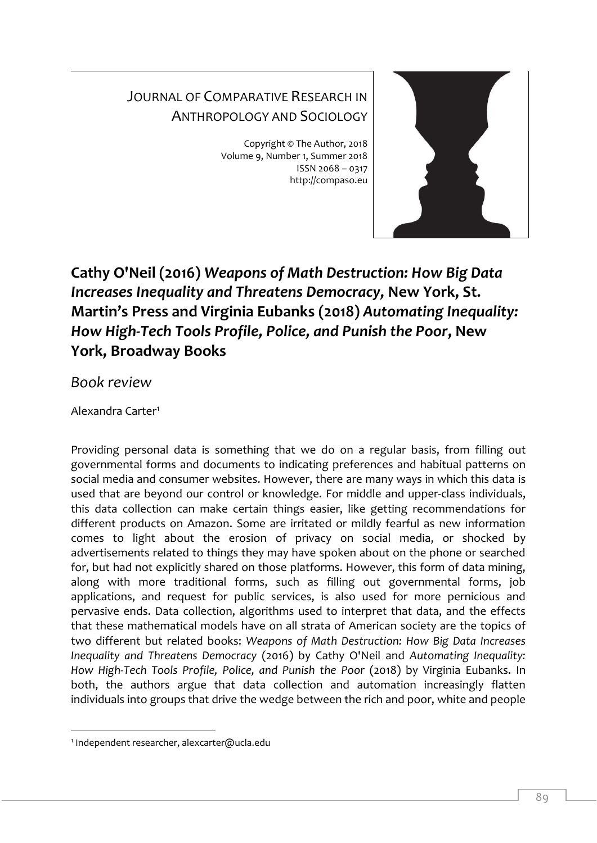## JOURNAL OF COMPARATIVE RESEARCH IN ANTHROPOLOGY AND SOCIOLOGY

Copyright © The Author, 2018 Volume 9, Number 1, Summer 2018 ISSN 2068 – 0317 http://compaso.eu



**Cathy O'Neil (2016)** *Weapons of Math Destruction: How Big Data Increases Inequality and Threatens Democracy,* **New York, St. Martin's Press and Virginia Eubanks (2018)** *Automating Inequality: How High-Tech Tools Profile, Police, and Punish the Poor***, New York, Broadway Books**

*Book review*

Alexandra Carter<sup>1</sup>

Providing personal data is something that we do on a regular basis, from filling out governmental forms and documents to indicating preferences and habitual patterns on social media and consumer websites. However, there are many ways in which this data is used that are beyond our control or knowledge. For middle and upper-class individuals, this data collection can make certain things easier, like getting recommendations for different products on Amazon. Some are irritated or mildly fearful as new information comes to light about the erosion of privacy on social media, or shocked by advertisements related to things they may have spoken about on the phone or searched for, but had not explicitly shared on those platforms. However, this form of data mining, along with more traditional forms, such as filling out governmental forms, job applications, and request for public services, is also used for more pernicious and pervasive ends. Data collection, algorithms used to interpret that data, and the effects that these mathematical models have on all strata of American society are the topics of two different but related books: *Weapons of Math Destruction: How Big Data Increases Inequality and Threatens Democracy* (2016) by Cathy O'Neil and *Automating Inequality: How High-Tech Tools Profile, Police, and Punish the Poor* (2018) by Virginia Eubanks. In both, the authors argue that data collection and automation increasingly flatten individuals into groups that drive the wedge between the rich and poor, white and people

<sup>-</sup>1 Independent researcher, alexcarter@ucla.edu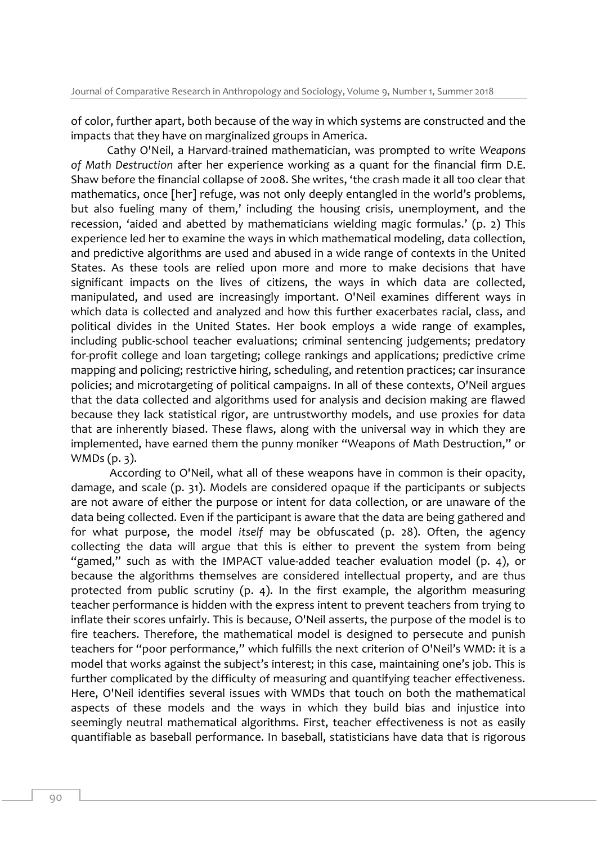of color, further apart, both because of the way in which systems are constructed and the impacts that they have on marginalized groups in America.

Cathy O'Neil, a Harvard-trained mathematician, was prompted to write *Weapons of Math Destruction* after her experience working as a quant for the financial firm D.E. Shaw before the financial collapse of 2008. She writes, 'the crash made it all too clear that mathematics, once [her] refuge, was not only deeply entangled in the world's problems, but also fueling many of them,' including the housing crisis, unemployment, and the recession, 'aided and abetted by mathematicians wielding magic formulas.' (p. 2) This experience led her to examine the ways in which mathematical modeling, data collection, and predictive algorithms are used and abused in a wide range of contexts in the United States. As these tools are relied upon more and more to make decisions that have significant impacts on the lives of citizens, the ways in which data are collected, manipulated, and used are increasingly important. O'Neil examines different ways in which data is collected and analyzed and how this further exacerbates racial, class, and political divides in the United States. Her book employs a wide range of examples, including public-school teacher evaluations; criminal sentencing judgements; predatory for-profit college and loan targeting; college rankings and applications; predictive crime mapping and policing; restrictive hiring, scheduling, and retention practices; car insurance policies; and microtargeting of political campaigns. In all of these contexts, O'Neil argues that the data collected and algorithms used for analysis and decision making are flawed because they lack statistical rigor, are untrustworthy models, and use proxies for data that are inherently biased. These flaws, along with the universal way in which they are implemented, have earned them the punny moniker "Weapons of Math Destruction," or WMDs (p. 3).

According to O'Neil, what all of these weapons have in common is their opacity, damage, and scale (p. 31). Models are considered opaque if the participants or subjects are not aware of either the purpose or intent for data collection, or are unaware of the data being collected. Even if the participant is aware that the data are being gathered and for what purpose, the model *itself* may be obfuscated (p. 28). Often, the agency collecting the data will argue that this is either to prevent the system from being "gamed," such as with the IMPACT value-added teacher evaluation model (p. 4), or because the algorithms themselves are considered intellectual property, and are thus protected from public scrutiny (p. 4). In the first example, the algorithm measuring teacher performance is hidden with the express intent to prevent teachers from trying to inflate their scores unfairly. This is because, O'Neil asserts, the purpose of the model is to fire teachers. Therefore, the mathematical model is designed to persecute and punish teachers for "poor performance," which fulfills the next criterion of O'Neil's WMD: it is a model that works against the subject's interest; in this case, maintaining one's job. This is further complicated by the difficulty of measuring and quantifying teacher effectiveness. Here, O'Neil identifies several issues with WMDs that touch on both the mathematical aspects of these models and the ways in which they build bias and injustice into seemingly neutral mathematical algorithms. First, teacher effectiveness is not as easily quantifiable as baseball performance. In baseball, statisticians have data that is rigorous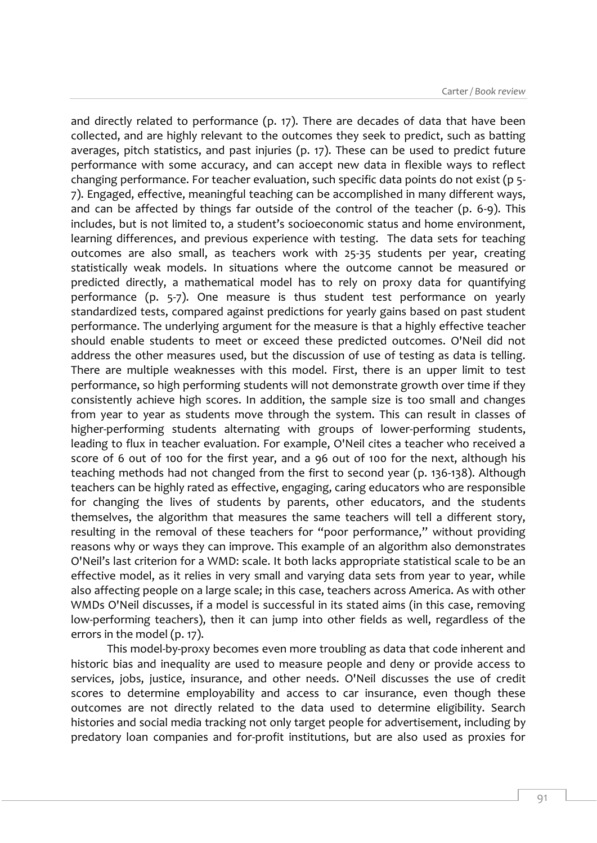and directly related to performance (p. 17). There are decades of data that have been collected, and are highly relevant to the outcomes they seek to predict, such as batting averages, pitch statistics, and past injuries (p. 17). These can be used to predict future performance with some accuracy, and can accept new data in flexible ways to reflect changing performance. For teacher evaluation, such specific data points do not exist (p 5- 7). Engaged, effective, meaningful teaching can be accomplished in many different ways, and can be affected by things far outside of the control of the teacher (p. 6-9). This includes, but is not limited to, a student's socioeconomic status and home environment, learning differences, and previous experience with testing. The data sets for teaching outcomes are also small, as teachers work with 25-35 students per year, creating statistically weak models. In situations where the outcome cannot be measured or predicted directly, a mathematical model has to rely on proxy data for quantifying performance (p. 5-7). One measure is thus student test performance on yearly standardized tests, compared against predictions for yearly gains based on past student performance. The underlying argument for the measure is that a highly effective teacher should enable students to meet or exceed these predicted outcomes. O'Neil did not address the other measures used, but the discussion of use of testing as data is telling. There are multiple weaknesses with this model. First, there is an upper limit to test performance, so high performing students will not demonstrate growth over time if they consistently achieve high scores. In addition, the sample size is too small and changes from year to year as students move through the system. This can result in classes of higher-performing students alternating with groups of lower-performing students, leading to flux in teacher evaluation. For example, O'Neil cites a teacher who received a score of 6 out of 100 for the first year, and a 96 out of 100 for the next, although his teaching methods had not changed from the first to second year (p. 136-138). Although teachers can be highly rated as effective, engaging, caring educators who are responsible for changing the lives of students by parents, other educators, and the students themselves, the algorithm that measures the same teachers will tell a different story, resulting in the removal of these teachers for "poor performance," without providing reasons why or ways they can improve. This example of an algorithm also demonstrates O'Neil's last criterion for a WMD: scale. It both lacks appropriate statistical scale to be an effective model, as it relies in very small and varying data sets from year to year, while also affecting people on a large scale; in this case, teachers across America. As with other WMDs O'Neil discusses, if a model is successful in its stated aims (in this case, removing low-performing teachers), then it can jump into other fields as well, regardless of the errors in the model (p. 17).

This model-by-proxy becomes even more troubling as data that code inherent and historic bias and inequality are used to measure people and deny or provide access to services, jobs, justice, insurance, and other needs. O'Neil discusses the use of credit scores to determine employability and access to car insurance, even though these outcomes are not directly related to the data used to determine eligibility. Search histories and social media tracking not only target people for advertisement, including by predatory loan companies and for-profit institutions, but are also used as proxies for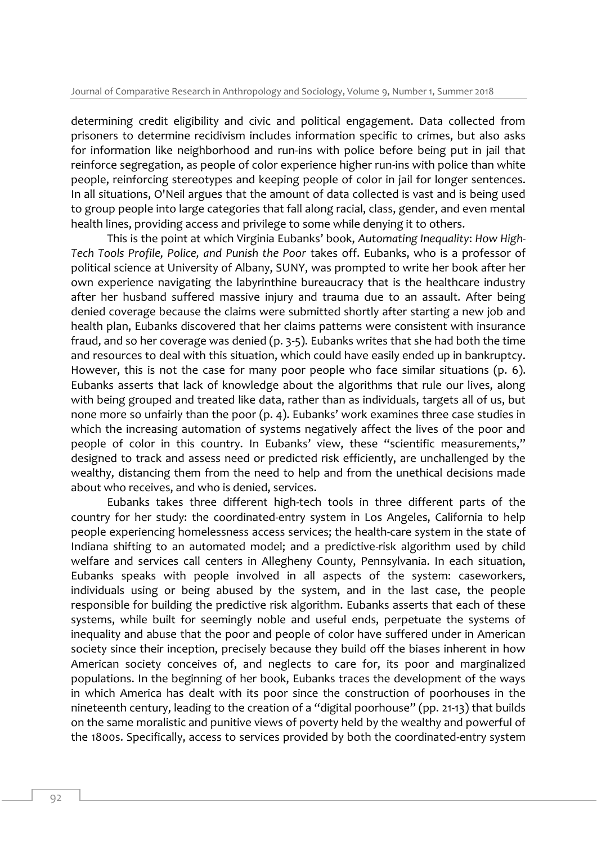determining credit eligibility and civic and political engagement. Data collected from prisoners to determine recidivism includes information specific to crimes, but also asks for information like neighborhood and run-ins with police before being put in jail that reinforce segregation, as people of color experience higher run-ins with police than white people, reinforcing stereotypes and keeping people of color in jail for longer sentences. In all situations, O'Neil argues that the amount of data collected is vast and is being used to group people into large categories that fall along racial, class, gender, and even mental health lines, providing access and privilege to some while denying it to others.

This is the point at which Virginia Eubanks' book, *Automating Inequality*: *How High-Tech Tools Profile, Police, and Punish the Poor* takes off. Eubanks, who is a professor of political science at University of Albany, SUNY, was prompted to write her book after her own experience navigating the labyrinthine bureaucracy that is the healthcare industry after her husband suffered massive injury and trauma due to an assault. After being denied coverage because the claims were submitted shortly after starting a new job and health plan, Eubanks discovered that her claims patterns were consistent with insurance fraud, and so her coverage was denied (p. 3-5). Eubanks writes that she had both the time and resources to deal with this situation, which could have easily ended up in bankruptcy. However, this is not the case for many poor people who face similar situations (p. 6). Eubanks asserts that lack of knowledge about the algorithms that rule our lives, along with being grouped and treated like data, rather than as individuals, targets all of us, but none more so unfairly than the poor (p. 4). Eubanks' work examines three case studies in which the increasing automation of systems negatively affect the lives of the poor and people of color in this country. In Eubanks' view, these "scientific measurements," designed to track and assess need or predicted risk efficiently, are unchallenged by the wealthy, distancing them from the need to help and from the unethical decisions made about who receives, and who is denied, services.

Eubanks takes three different high-tech tools in three different parts of the country for her study: the coordinated-entry system in Los Angeles, California to help people experiencing homelessness access services; the health-care system in the state of Indiana shifting to an automated model; and a predictive-risk algorithm used by child welfare and services call centers in Allegheny County, Pennsylvania. In each situation, Eubanks speaks with people involved in all aspects of the system: caseworkers, individuals using or being abused by the system, and in the last case, the people responsible for building the predictive risk algorithm. Eubanks asserts that each of these systems, while built for seemingly noble and useful ends, perpetuate the systems of inequality and abuse that the poor and people of color have suffered under in American society since their inception, precisely because they build off the biases inherent in how American society conceives of, and neglects to care for, its poor and marginalized populations. In the beginning of her book, Eubanks traces the development of the ways in which America has dealt with its poor since the construction of poorhouses in the nineteenth century, leading to the creation of a "digital poorhouse" (pp. 21-13) that builds on the same moralistic and punitive views of poverty held by the wealthy and powerful of the 1800s. Specifically, access to services provided by both the coordinated-entry system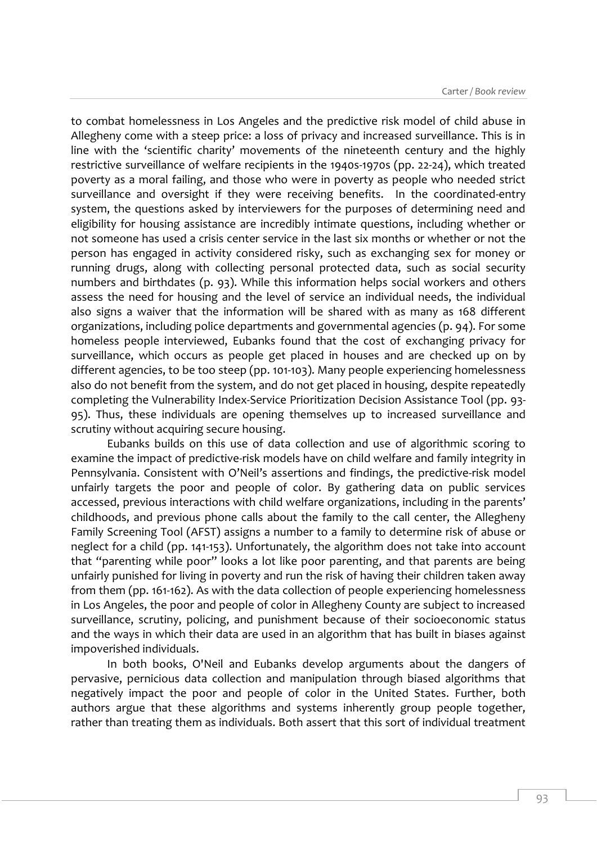to combat homelessness in Los Angeles and the predictive risk model of child abuse in Allegheny come with a steep price: a loss of privacy and increased surveillance. This is in line with the 'scientific charity' movements of the nineteenth century and the highly restrictive surveillance of welfare recipients in the 1940s-1970s (pp. 22-24), which treated poverty as a moral failing, and those who were in poverty as people who needed strict surveillance and oversight if they were receiving benefits. In the coordinated-entry system, the questions asked by interviewers for the purposes of determining need and eligibility for housing assistance are incredibly intimate questions, including whether or not someone has used a crisis center service in the last six months or whether or not the person has engaged in activity considered risky, such as exchanging sex for money or running drugs, along with collecting personal protected data, such as social security numbers and birthdates (p. 93). While this information helps social workers and others assess the need for housing and the level of service an individual needs, the individual also signs a waiver that the information will be shared with as many as 168 different organizations, including police departments and governmental agencies (p. 94). For some homeless people interviewed, Eubanks found that the cost of exchanging privacy for surveillance, which occurs as people get placed in houses and are checked up on by different agencies, to be too steep (pp. 101-103). Many people experiencing homelessness also do not benefit from the system, and do not get placed in housing, despite repeatedly completing the Vulnerability Index-Service Prioritization Decision Assistance Tool (pp. 93- 95). Thus, these individuals are opening themselves up to increased surveillance and scrutiny without acquiring secure housing.

Eubanks builds on this use of data collection and use of algorithmic scoring to examine the impact of predictive-risk models have on child welfare and family integrity in Pennsylvania. Consistent with O'Neil's assertions and findings, the predictive-risk model unfairly targets the poor and people of color. By gathering data on public services accessed, previous interactions with child welfare organizations, including in the parents' childhoods, and previous phone calls about the family to the call center, the Allegheny Family Screening Tool (AFST) assigns a number to a family to determine risk of abuse or neglect for a child (pp. 141-153). Unfortunately, the algorithm does not take into account that "parenting while poor" looks a lot like poor parenting, and that parents are being unfairly punished for living in poverty and run the risk of having their children taken away from them (pp. 161-162). As with the data collection of people experiencing homelessness in Los Angeles, the poor and people of color in Allegheny County are subject to increased surveillance, scrutiny, policing, and punishment because of their socioeconomic status and the ways in which their data are used in an algorithm that has built in biases against impoverished individuals.

In both books, O'Neil and Eubanks develop arguments about the dangers of pervasive, pernicious data collection and manipulation through biased algorithms that negatively impact the poor and people of color in the United States. Further, both authors argue that these algorithms and systems inherently group people together, rather than treating them as individuals. Both assert that this sort of individual treatment